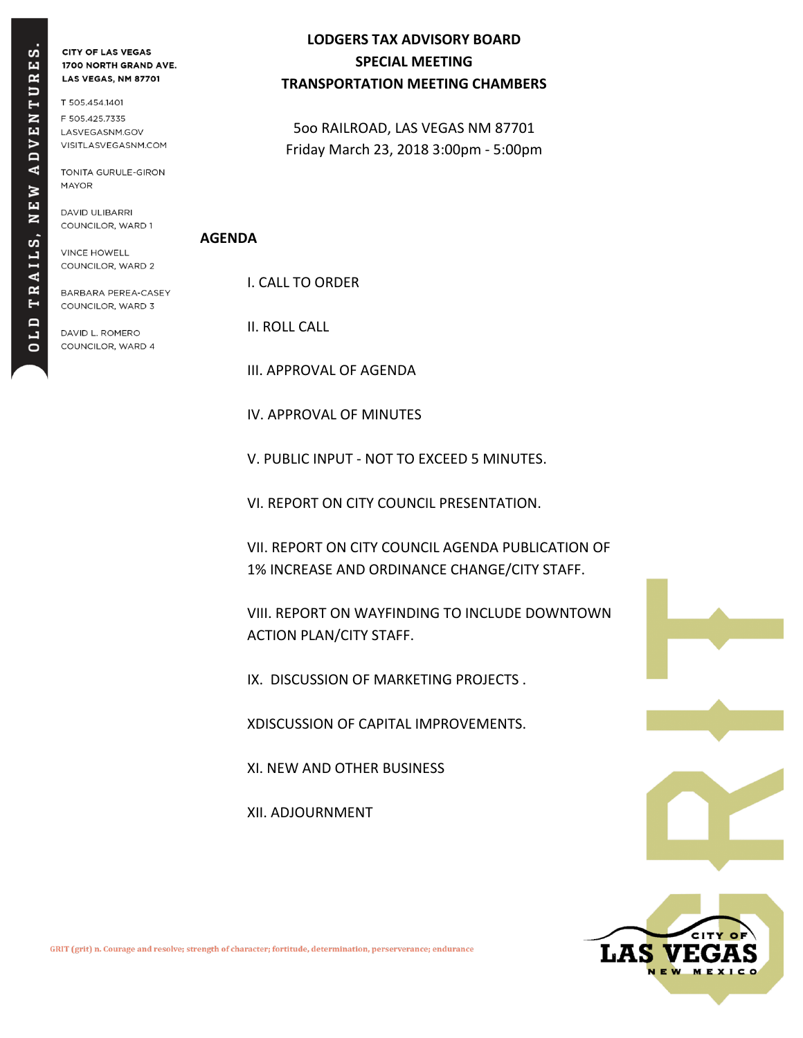# E<sub>S</sub>.  $\mathbf{R}$  $\Box$ EN  $\triangleright$  $\overline{A}$ Þ .<br>Ш  $\overline{\mathbf{z}}$ AILS, R  $\blacksquare$ Ξ  $\ddot{\mathbf{o}}$

**CITY OF LAS VEGAS** 1700 NORTH GRAND AVE. LAS VEGAS, NM 87701

T 505.454.1401 F 505.425.7335 LASVEGASNM.GOV VISITLASVEGASNM.COM

TONITA GURULE-GIRON **MAYOR** 

DAVID ULIBARRI COUNCILOR, WARD 1

**VINCE HOWELL** COUNCILOR, WARD 2

BARBARA PEREA-CASEY COUNCILOR, WARD 3

DAVID L. ROMERO COUNCILOR, WARD 4

### **LODGERS TAX ADVISORY BOARD SPECIAL MEETING TRANSPORTATION MEETING CHAMBERS**

5oo RAILROAD, LAS VEGAS NM 87701 Friday March 23, 2018 3:00pm - 5:00pm

#### **AGENDA**

I. CALL TO ORDER

II. ROLL CALL

III. APPROVAL OF AGENDA

IV. APPROVAL OF MINUTES

V. PUBLIC INPUT - NOT TO EXCEED 5 MINUTES.

VI. REPORT ON CITY COUNCIL PRESENTATION.

VII. REPORT ON CITY COUNCIL AGENDA PUBLICATION OF 1% INCREASE AND ORDINANCE CHANGE/CITY STAFF.

VIII. REPORT ON WAYFINDING TO INCLUDE DOWNTOWN ACTION PLAN/CITY STAFF.

IX. DISCUSSION OF MARKETING PROJECTS .

XDISCUSSION OF CAPITAL IMPROVEMENTS.

XI. NEW AND OTHER BUSINESS

XII. ADJOURNMENT





GRIT (grit) n. Courage and resolve; strength of character; fortitude, determination, perserverance; endurance